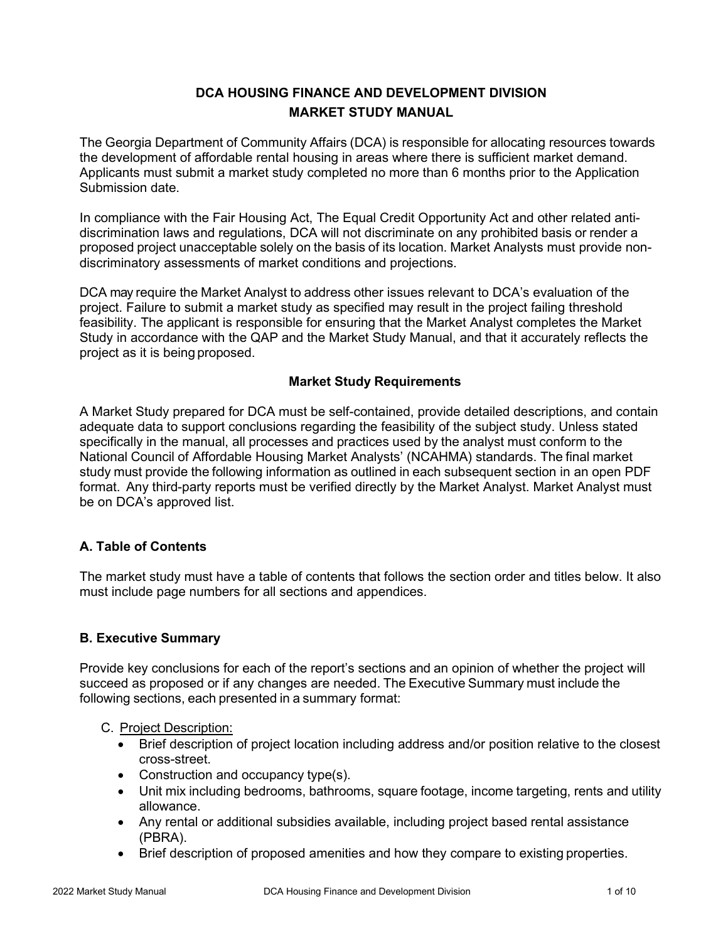# **DCA HOUSING FINANCE AND DEVELOPMENT DIVISION MARKET STUDY MANUAL**

The Georgia Department of Community Affairs (DCA) is responsible for allocating resources towards the development of affordable rental housing in areas where there is sufficient market demand. Applicants must submit a market study completed no more than 6 months prior to the Application Submission date.

In compliance with the Fair Housing Act, The Equal Credit Opportunity Act and other related antidiscrimination laws and regulations, DCA will not discriminate on any prohibited basis or render a proposed project unacceptable solely on the basis of its location. Market Analysts must provide nondiscriminatory assessments of market conditions and projections.

DCA may require the Market Analyst to address other issues relevant to DCA's evaluation of the project. Failure to submit a market study as specified may result in the project failing threshold feasibility. The applicant is responsible for ensuring that the Market Analyst completes the Market Study in accordance with the QAP and the Market Study Manual, and that it accurately reflects the project as it is being proposed.

## **Market Study Requirements**

A Market Study prepared for DCA must be self-contained, provide detailed descriptions, and contain adequate data to support conclusions regarding the feasibility of the subject study. Unless stated specifically in the manual, all processes and practices used by the analyst must conform to the National Council of Affordable Housing Market Analysts' (NCAHMA) standards. The final market study must provide the following information as outlined in each subsequent section in an open PDF format. Any third-party reports must be verified directly by the Market Analyst. Market Analyst must be on DCA's approved list.

# **A. Table of Contents**

The market study must have a table of contents that follows the section order and titles below. It also must include page numbers for all sections and appendices.

### **B. Executive Summary**

Provide key conclusions for each of the report's sections and an opinion of whether the project will succeed as proposed or if any changes are needed. The Executive Summary must include the following sections, each presented in a summary format:

### C. Project Description:

- Brief description of project location including address and/or position relative to the closest cross-street.
- Construction and occupancy type(s).
- Unit mix including bedrooms, bathrooms, square footage, income targeting, rents and utility allowance.
- Any rental or additional subsidies available, including project based rental assistance (PBRA).
- Brief description of proposed amenities and how they compare to existing properties.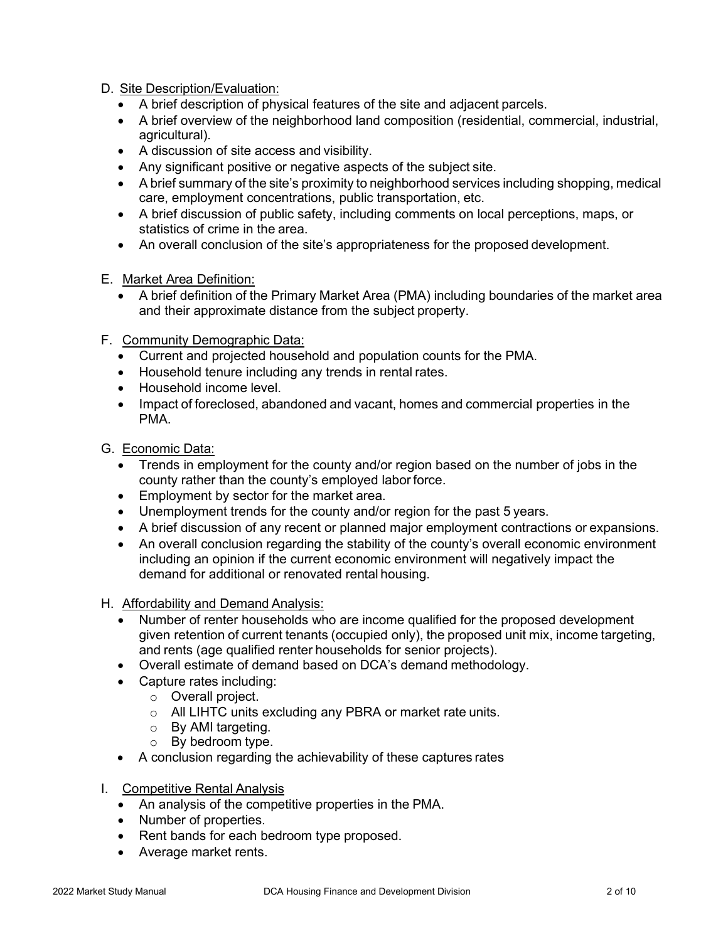### D. Site Description/Evaluation:

- A brief description of physical features of the site and adjacent parcels.
- A brief overview of the neighborhood land composition (residential, commercial, industrial, agricultural).
- A discussion of site access and visibility.
- Any significant positive or negative aspects of the subject site.
- A brief summary of the site's proximity to neighborhood services including shopping, medical care, employment concentrations, public transportation, etc.
- A brief discussion of public safety, including comments on local perceptions, maps, or statistics of crime in the area.
- An overall conclusion of the site's appropriateness for the proposed development.
- E. Market Area Definition:
	- A brief definition of the Primary Market Area (PMA) including boundaries of the market area and their approximate distance from the subject property.
- F. Community Demographic Data:
	- Current and projected household and population counts for the PMA.
	- Household tenure including any trends in rental rates.
	- Household income level.
	- Impact of foreclosed, abandoned and vacant, homes and commercial properties in the PMA.
- G. Economic Data:
	- Trends in employment for the county and/or region based on the number of jobs in the county rather than the county's employed labor force.
	- Employment by sector for the market area.
	- Unemployment trends for the county and/or region for the past 5 years.
	- A brief discussion of any recent or planned major employment contractions or expansions.
	- An overall conclusion regarding the stability of the county's overall economic environment including an opinion if the current economic environment will negatively impact the demand for additional or renovated rental housing.
- H. Affordability and Demand Analysis:
	- Number of renter households who are income qualified for the proposed development given retention of current tenants (occupied only), the proposed unit mix, income targeting, and rents (age qualified renter households for senior projects).
	- Overall estimate of demand based on DCA's demand methodology.
	- Capture rates including:
		- o Overall project.
		- o All LIHTC units excluding any PBRA or market rate units.
		- o By AMI targeting.
		- o By bedroom type.
	- A conclusion regarding the achievability of these captures rates
- I. Competitive Rental Analysis
	- An analysis of the competitive properties in the PMA.
	- Number of properties.
	- Rent bands for each bedroom type proposed.
	- Average market rents.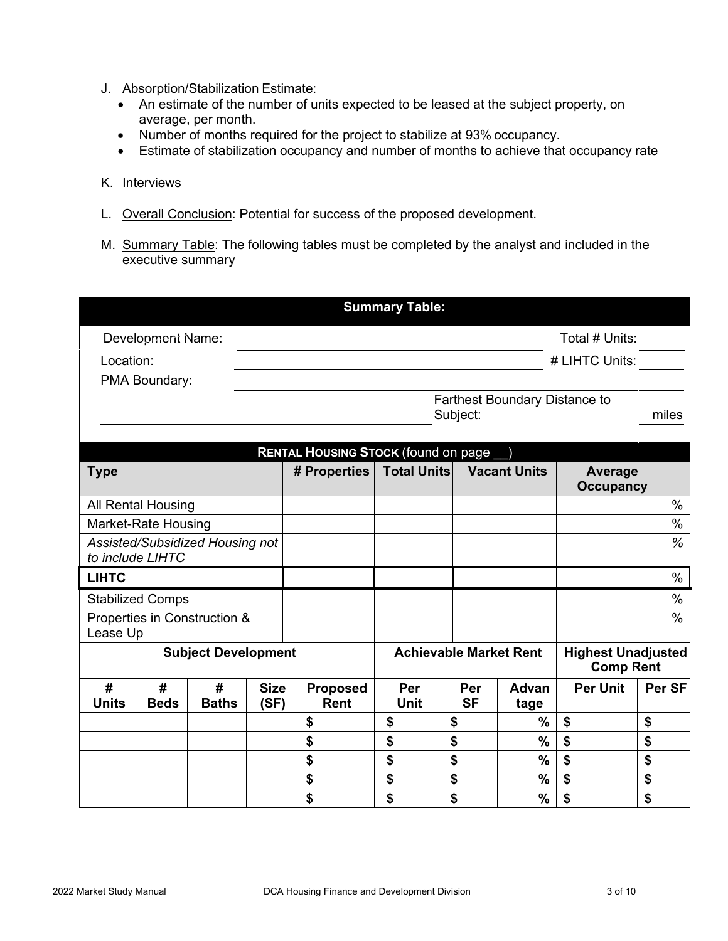- J. Absorption/Stabilization Estimate:
	- An estimate of the number of units expected to be leased at the subject property, on average, per month.
	- Number of months required for the project to stabilize at 93% occupancy.
	- Estimate of stabilization occupancy and number of months to achieve that occupancy rate

#### K. Interviews

- L. Overall Conclusion: Potential for success of the proposed development.
- M. Summary Table: The following tables must be completed by the analyst and included in the executive summary

|                                                     |                            |                   |                     |                                                           | <b>Summary Table:</b>         |                  |                     |                                               |        |  |  |
|-----------------------------------------------------|----------------------------|-------------------|---------------------|-----------------------------------------------------------|-------------------------------|------------------|---------------------|-----------------------------------------------|--------|--|--|
| Development Name:                                   |                            |                   |                     | Total # Units:                                            |                               |                  |                     |                                               |        |  |  |
| Location:                                           |                            |                   |                     | # LIHTC Units:                                            |                               |                  |                     |                                               |        |  |  |
| PMA Boundary:                                       |                            |                   |                     |                                                           |                               |                  |                     |                                               |        |  |  |
|                                                     |                            |                   |                     | <b>Farthest Boundary Distance to</b><br>Subject:<br>miles |                               |                  |                     |                                               |        |  |  |
|                                                     |                            |                   |                     |                                                           |                               |                  |                     |                                               |        |  |  |
|                                                     |                            |                   |                     | <b>RENTAL HOUSING STOCK (found on page</b>                |                               |                  |                     |                                               |        |  |  |
| <b>Type</b>                                         |                            |                   |                     | # Properties                                              | <b>Total Units</b>            |                  | <b>Vacant Units</b> | Average<br><b>Occupancy</b>                   |        |  |  |
|                                                     | All Rental Housing         |                   |                     |                                                           |                               |                  |                     |                                               | $\%$   |  |  |
|                                                     | <b>Market-Rate Housing</b> |                   |                     |                                                           |                               |                  |                     |                                               | %      |  |  |
| Assisted/Subsidized Housing not<br>to include LIHTC |                            |                   |                     |                                                           |                               |                  |                     |                                               | %      |  |  |
| <b>LIHTC</b>                                        |                            |                   |                     |                                                           |                               |                  |                     |                                               | $\%$   |  |  |
| <b>Stabilized Comps</b>                             |                            |                   |                     |                                                           |                               |                  |                     |                                               | $\%$   |  |  |
| Properties in Construction &<br>Lease Up            |                            |                   |                     |                                                           |                               |                  |                     |                                               | $\%$   |  |  |
| <b>Subject Development</b>                          |                            |                   |                     |                                                           | <b>Achievable Market Rent</b> |                  |                     | <b>Highest Unadjusted</b><br><b>Comp Rent</b> |        |  |  |
| #<br><b>Units</b>                                   | #<br><b>Beds</b>           | #<br><b>Baths</b> | <b>Size</b><br>(SF) | <b>Proposed</b><br><b>Rent</b>                            | Per<br><b>Unit</b>            | Per<br><b>SF</b> | Advan<br>tage       | <b>Per Unit</b>                               | Per SF |  |  |
|                                                     |                            |                   |                     | \$                                                        | \$                            | \$               | $\frac{0}{0}$       | \$                                            | \$     |  |  |
|                                                     |                            |                   |                     | \$                                                        | \$                            | \$               | $\frac{0}{0}$       | \$                                            | \$     |  |  |
|                                                     |                            |                   |                     | \$                                                        | \$                            | \$               | $\frac{0}{0}$       | \$                                            | \$     |  |  |
|                                                     |                            |                   |                     | \$                                                        | \$                            | \$               | $\frac{9}{6}$       | \$                                            | \$     |  |  |
|                                                     |                            |                   |                     | \$                                                        | \$                            | \$               | $\%$                | \$                                            | \$     |  |  |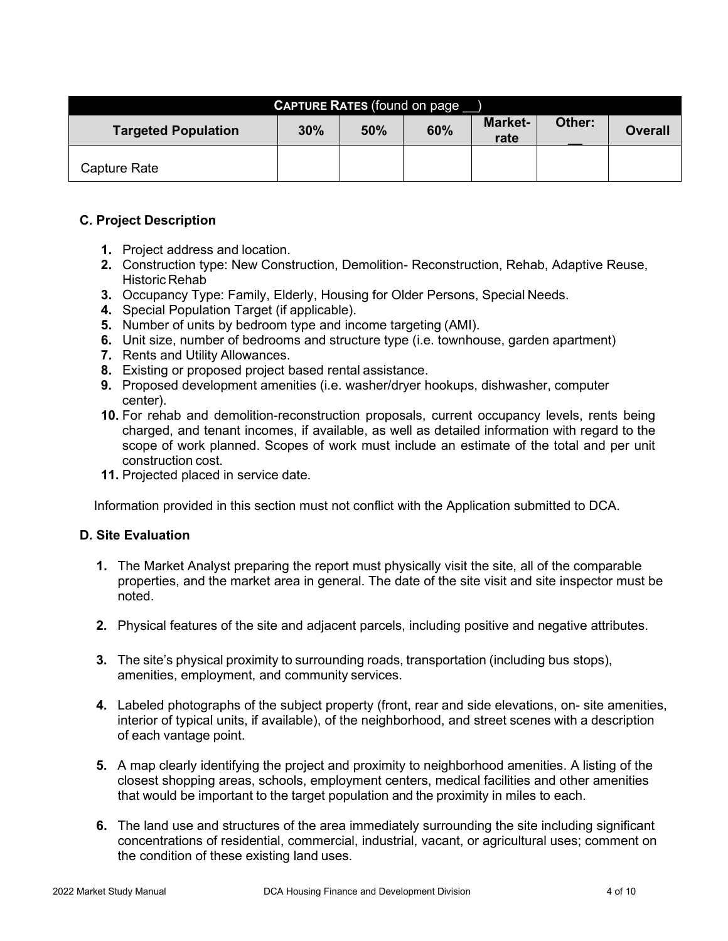| <b>CAPTURE RATES</b> (found on page |     |     |     |                                  |  |                |  |  |
|-------------------------------------|-----|-----|-----|----------------------------------|--|----------------|--|--|
| <b>Targeted Population</b>          | 30% | 50% | 60% | <b>Market-</b><br>Other:<br>rate |  | <b>Overall</b> |  |  |
| <b>Capture Rate</b>                 |     |     |     |                                  |  |                |  |  |

## **C. Project Description**

- **1.** Project address and location.
- **2.** Construction type: New Construction, Demolition- Reconstruction, Rehab, Adaptive Reuse, Historic Rehab
- **3.** Occupancy Type: Family, Elderly, Housing for Older Persons, Special Needs.
- **4.** Special Population Target (if applicable).
- **5.** Number of units by bedroom type and income targeting (AMI).
- **6.** Unit size, number of bedrooms and structure type (i.e. townhouse, garden apartment)
- **7.** Rents and Utility Allowances.
- **8.** Existing or proposed project based rental assistance.
- **9.** Proposed development amenities (i.e. washer/dryer hookups, dishwasher, computer center).
- **10.** For rehab and demolition-reconstruction proposals, current occupancy levels, rents being charged, and tenant incomes, if available, as well as detailed information with regard to the scope of work planned. Scopes of work must include an estimate of the total and per unit construction cost.
- **11.** Projected placed in service date.

Information provided in this section must not conflict with the Application submitted to DCA.

### **D. Site Evaluation**

- **1.** The Market Analyst preparing the report must physically visit the site, all of the comparable properties, and the market area in general. The date of the site visit and site inspector must be noted.
- **2.** Physical features of the site and adjacent parcels, including positive and negative attributes.
- **3.** The site's physical proximity to surrounding roads, transportation (including bus stops), amenities, employment, and community services.
- **4.** Labeled photographs of the subject property (front, rear and side elevations, on- site amenities, interior of typical units, if available), of the neighborhood, and street scenes with a description of each vantage point.
- **5.** A map clearly identifying the project and proximity to neighborhood amenities. A listing of the closest shopping areas, schools, employment centers, medical facilities and other amenities that would be important to the target population and the proximity in miles to each.
- **6.** The land use and structures of the area immediately surrounding the site including significant concentrations of residential, commercial, industrial, vacant, or agricultural uses; comment on the condition of these existing land uses.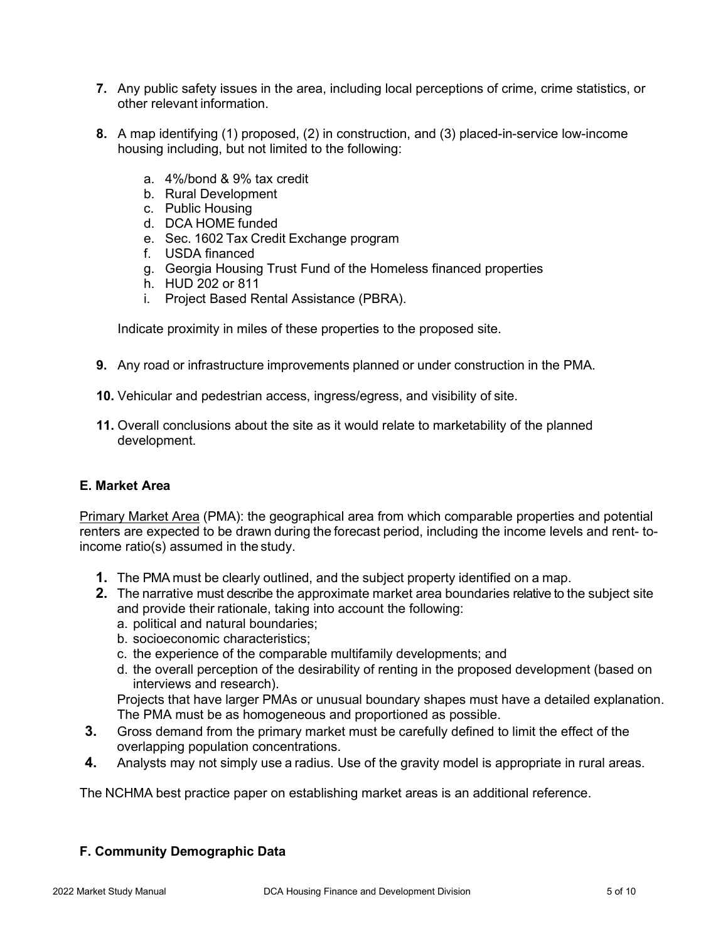- **7.** Any public safety issues in the area, including local perceptions of crime, crime statistics, or other relevant information.
- **8.** A map identifying (1) proposed, (2) in construction, and (3) placed-in-service low-income housing including, but not limited to the following:
	- a. 4%/bond & 9% tax credit
	- b. Rural Development
	- c. Public Housing
	- d. DCA HOME funded
	- e. Sec. 1602 Tax Credit Exchange program
	- f. USDA financed
	- g. Georgia Housing Trust Fund of the Homeless financed properties
	- h. HUD 202 or 811
	- i. Project Based Rental Assistance (PBRA).

Indicate proximity in miles of these properties to the proposed site.

- **9.** Any road or infrastructure improvements planned or under construction in the PMA.
- **10.** Vehicular and pedestrian access, ingress/egress, and visibility of site.
- **11.** Overall conclusions about the site as it would relate to marketability of the planned development.

#### **E. Market Area**

Primary Market Area (PMA): the geographical area from which comparable properties and potential renters are expected to be drawn during the forecast period, including the income levels and rent- toincome ratio(s) assumed in the study.

- **1.** The PMA must be clearly outlined, and the subject property identified on a map.
- **2.** The narrative must describe the approximate market area boundaries relative to the subject site and provide their rationale, taking into account the following:
	- a. political and natural boundaries;
	- b. socioeconomic characteristics;
	- c. the experience of the comparable multifamily developments; and
	- d. the overall perception of the desirability of renting in the proposed development (based on interviews and research).

Projects that have larger PMAs or unusual boundary shapes must have a detailed explanation. The PMA must be as homogeneous and proportioned as possible.

- **3.** Gross demand from the primary market must be carefully defined to limit the effect of the overlapping population concentrations.
- **4.** Analysts may not simply use a radius. Use of the gravity model is appropriate in rural areas.

The NCHMA best practice paper on establishing market areas is an additional reference.

### **F. Community Demographic Data**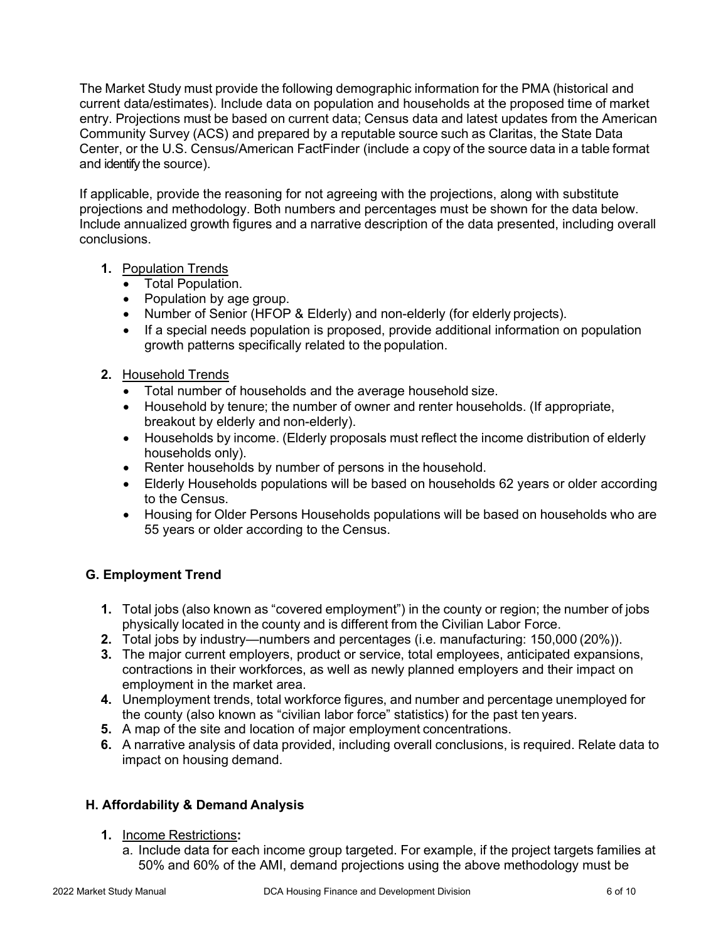The Market Study must provide the following demographic information for the PMA (historical and current data/estimates). Include data on population and households at the proposed time of market entry. Projections must be based on current data; Census data and latest updates from the American Community Survey (ACS) and prepared by a reputable source such as Claritas, the State Data Center, or the U.S. Census/American FactFinder (include a copy of the source data in a table format and identify the source).

If applicable, provide the reasoning for not agreeing with the projections, along with substitute projections and methodology. Both numbers and percentages must be shown for the data below. Include annualized growth figures and a narrative description of the data presented, including overall conclusions.

- **1.** Population Trends
	- Total Population.
	- Population by age group.
	- Number of Senior (HFOP & Elderly) and non-elderly (for elderly projects).
	- If a special needs population is proposed, provide additional information on population growth patterns specifically related to the population.
- **2.** Household Trends
	- Total number of households and the average household size.
	- Household by tenure; the number of owner and renter households. (If appropriate, breakout by elderly and non-elderly).
	- Households by income. (Elderly proposals must reflect the income distribution of elderly households only).
	- Renter households by number of persons in the household.
	- Elderly Households populations will be based on households 62 years or older according to the Census.
	- Housing for Older Persons Households populations will be based on households who are 55 years or older according to the Census.

# **G. Employment Trend**

- **1.** Total jobs (also known as "covered employment") in the county or region; the number of jobs physically located in the county and is different from the Civilian Labor Force.
- **2.** Total jobs by industry—numbers and percentages (i.e. manufacturing: 150,000 (20%)).
- **3.** The major current employers, product or service, total employees, anticipated expansions, contractions in their workforces, as well as newly planned employers and their impact on employment in the market area.
- **4.** Unemployment trends, total workforce figures, and number and percentage unemployed for the county (also known as "civilian labor force" statistics) for the past ten years.
- **5.** A map of the site and location of major employment concentrations.
- **6.** A narrative analysis of data provided, including overall conclusions, is required. Relate data to impact on housing demand.

# **H. Affordability & Demand Analysis**

- **1.** Income Restrictions**:**
	- a. Include data for each income group targeted. For example, if the project targets families at 50% and 60% of the AMI, demand projections using the above methodology must be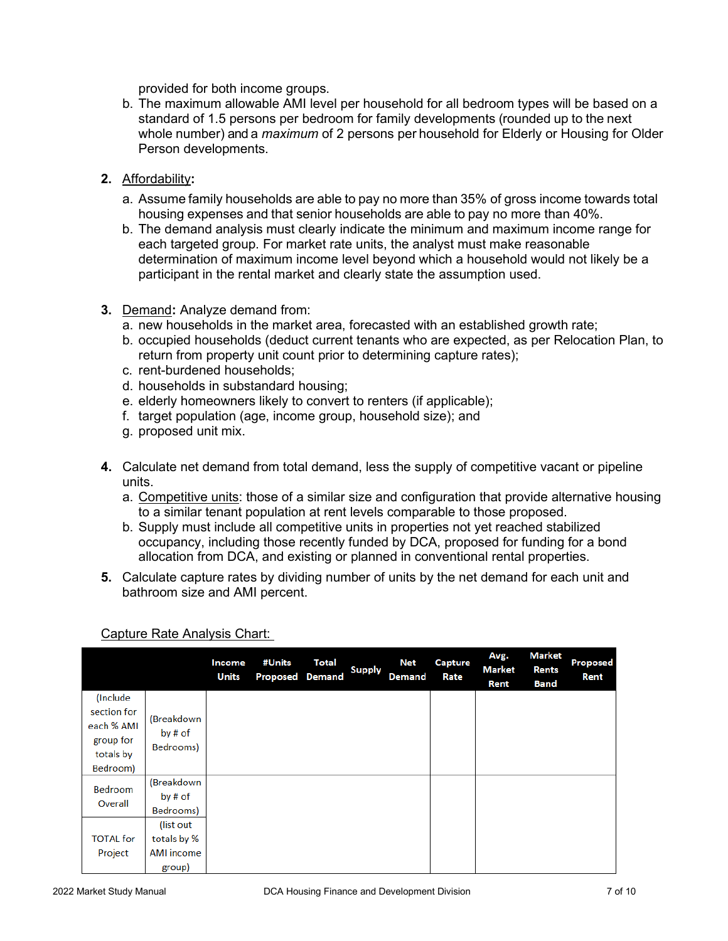provided for both income groups.

- b. The maximum allowable AMI level per household for all bedroom types will be based on a standard of 1.5 persons per bedroom for family developments (rounded up to the next whole number) and a *maximum* of 2 persons per household for Elderly or Housing for Older Person developments.
- **2.** Affordability**:**
	- a. Assume family households are able to pay no more than 35% of gross income towards total housing expenses and that senior households are able to pay no more than 40%.
	- b. The demand analysis must clearly indicate the minimum and maximum income range for each targeted group. For market rate units, the analyst must make reasonable determination of maximum income level beyond which a household would not likely be a participant in the rental market and clearly state the assumption used.
- **3.** Demand**:** Analyze demand from:
	- a. new households in the market area, forecasted with an established growth rate;
	- b. occupied households (deduct current tenants who are expected, as per Relocation Plan, to return from property unit count prior to determining capture rates);
	- c. rent-burdened households;
	- d. households in substandard housing;
	- e. elderly homeowners likely to convert to renters (if applicable);
	- f. target population (age, income group, household size); and
	- g. proposed unit mix.
- **4.** Calculate net demand from total demand, less the supply of competitive vacant or pipeline units.
	- a. Competitive units: those of a similar size and configuration that provide alternative housing to a similar tenant population at rent levels comparable to those proposed.
	- b. Supply must include all competitive units in properties not yet reached stabilized occupancy, including those recently funded by DCA, proposed for funding for a bond allocation from DCA, and existing or planned in conventional rental properties.
- **5.** Calculate capture rates by dividing number of units by the net demand for each unit and bathroom size and AMI percent.

|                  |                                    | Income<br><b>Units</b> | #Units<br><b>Proposed Demand</b> | <b>Total</b> | <b>Supply</b> | Net<br><b>Demand</b> | Capture<br>Rate | Avg.<br>Market<br>Rent | Market<br><b>Rents</b><br><b>Band</b> | <b>Proposed</b><br>Rent |
|------------------|------------------------------------|------------------------|----------------------------------|--------------|---------------|----------------------|-----------------|------------------------|---------------------------------------|-------------------------|
| (Include)        | (Breakdown<br>by # of<br>Bedrooms) |                        |                                  |              |               |                      |                 |                        |                                       |                         |
| section for      |                                    |                        |                                  |              |               |                      |                 |                        |                                       |                         |
| each % AMI       |                                    |                        |                                  |              |               |                      |                 |                        |                                       |                         |
| group for        |                                    |                        |                                  |              |               |                      |                 |                        |                                       |                         |
| totals by        |                                    |                        |                                  |              |               |                      |                 |                        |                                       |                         |
| Bedroom)         |                                    |                        |                                  |              |               |                      |                 |                        |                                       |                         |
| <b>Bedroom</b>   | (Breakdown                         |                        |                                  |              |               |                      |                 |                        |                                       |                         |
| Overall          | by # of                            |                        |                                  |              |               |                      |                 |                        |                                       |                         |
|                  | Bedrooms)                          |                        |                                  |              |               |                      |                 |                        |                                       |                         |
|                  | (list out                          |                        |                                  |              |               |                      |                 |                        |                                       |                         |
| <b>TOTAL</b> for | totals by %                        |                        |                                  |              |               |                      |                 |                        |                                       |                         |
| Project          | AMI income                         |                        |                                  |              |               |                      |                 |                        |                                       |                         |
|                  | group)                             |                        |                                  |              |               |                      |                 |                        |                                       |                         |

### Capture Rate Analysis Chart: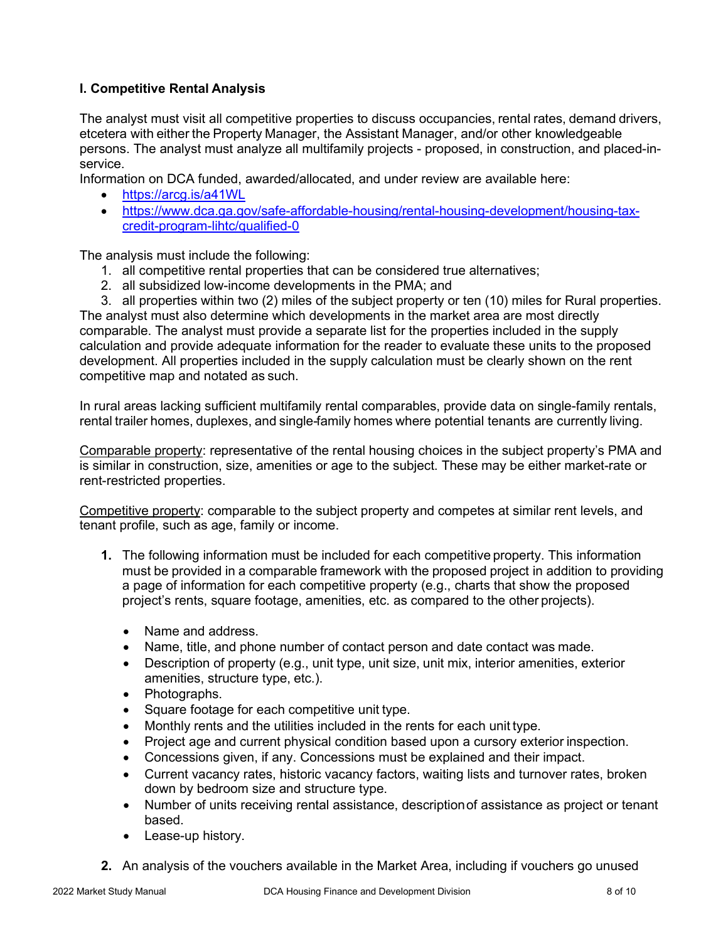# **I. Competitive Rental Analysis**

The analyst must visit all competitive properties to discuss occupancies, rental rates, demand drivers, etcetera with either the Property Manager, the Assistant Manager, and/or other knowledgeable persons. The analyst must analyze all multifamily projects - proposed, in construction, and placed-inservice.

Information on DCA funded, awarded/allocated, and under review are available here:

- <https://arcg.is/a41WL>
- [https://www.dca.ga.gov/safe-affordable-housing/rental-housing-development/housing-tax](https://www.dca.ga.gov/safe-affordable-housing/rental-housing-development/housing-tax-credit-program-lihtc/qualified-0)[credit-program-lihtc/qualified-0](https://www.dca.ga.gov/safe-affordable-housing/rental-housing-development/housing-tax-credit-program-lihtc/qualified-0)

The analysis must include the following:

- 1. all competitive rental properties that can be considered true alternatives;
- 2. all subsidized low-income developments in the PMA; and
- 3. all properties within two (2) miles of the subject property or ten (10) miles for Rural properties.

The analyst must also determine which developments in the market area are most directly comparable. The analyst must provide a separate list for the properties included in the supply calculation and provide adequate information for the reader to evaluate these units to the proposed development. All properties included in the supply calculation must be clearly shown on the rent competitive map and notated as such.

In rural areas lacking sufficient multifamily rental comparables, provide data on single-family rentals, rental trailer homes, duplexes, and single-family homes where potential tenants are currently living.

Comparable property: representative of the rental housing choices in the subject property's PMA and is similar in construction, size, amenities or age to the subject. These may be either market-rate or rent-restricted properties.

Competitive property: comparable to the subject property and competes at similar rent levels, and tenant profile, such as age, family or income.

- **1.** The following information must be included for each competitive property. This information must be provided in a comparable framework with the proposed project in addition to providing a page of information for each competitive property (e.g., charts that show the proposed project's rents, square footage, amenities, etc. as compared to the other projects).
	- Name and address.
	- Name, title, and phone number of contact person and date contact was made.
	- Description of property (e.g., unit type, unit size, unit mix, interior amenities, exterior amenities, structure type, etc.).
	- Photographs.
	- Square footage for each competitive unit type.
	- Monthly rents and the utilities included in the rents for each unit type.
	- Project age and current physical condition based upon a cursory exterior inspection.
	- Concessions given, if any. Concessions must be explained and their impact.
	- Current vacancy rates, historic vacancy factors, waiting lists and turnover rates, broken down by bedroom size and structure type.
	- Number of units receiving rental assistance, descriptionof assistance as project or tenant based.
	- Lease-up history.
- **2.** An analysis of the vouchers available in the Market Area, including if vouchers go unused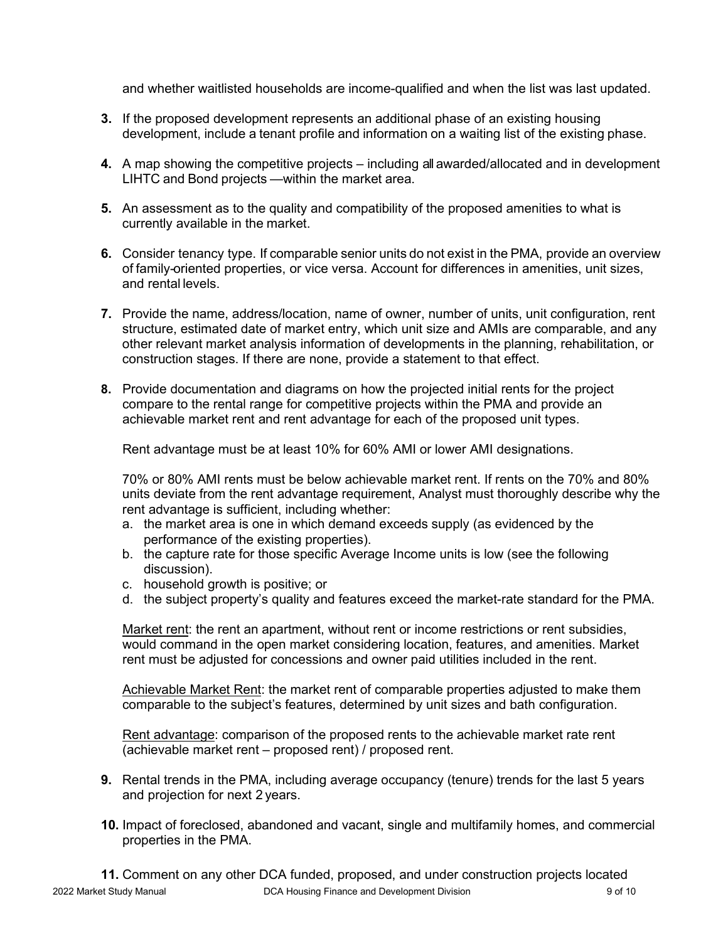and whether waitlisted households are income-qualified and when the list was last updated.

- **3.** If the proposed development represents an additional phase of an existing housing development, include a tenant profile and information on a waiting list of the existing phase.
- **4.** A map showing the competitive projects including all awarded/allocated and in development LIHTC and Bond projects —within the market area.
- **5.** An assessment as to the quality and compatibility of the proposed amenities to what is currently available in the market.
- **6.** Consider tenancy type. If comparable senior units do not exist in the PMA, provide an overview of family-oriented properties, or vice versa. Account for differences in amenities, unit sizes, and rental levels.
- **7.** Provide the name, address/location, name of owner, number of units, unit configuration, rent structure, estimated date of market entry, which unit size and AMIs are comparable, and any other relevant market analysis information of developments in the planning, rehabilitation, or construction stages. If there are none, provide a statement to that effect.
- **8.** Provide documentation and diagrams on how the projected initial rents for the project compare to the rental range for competitive projects within the PMA and provide an achievable market rent and rent advantage for each of the proposed unit types.

Rent advantage must be at least 10% for 60% AMI or lower AMI designations.

70% or 80% AMI rents must be below achievable market rent. If rents on the 70% and 80% units deviate from the rent advantage requirement, Analyst must thoroughly describe why the rent advantage is sufficient, including whether:

- a. the market area is one in which demand exceeds supply (as evidenced by the performance of the existing properties).
- b. the capture rate for those specific Average Income units is low (see the following discussion).
- c. household growth is positive; or
- d. the subject property's quality and features exceed the market-rate standard for the PMA.

Market rent: the rent an apartment, without rent or income restrictions or rent subsidies, would command in the open market considering location, features, and amenities. Market rent must be adjusted for concessions and owner paid utilities included in the rent.

Achievable Market Rent: the market rent of comparable properties adjusted to make them comparable to the subject's features, determined by unit sizes and bath configuration.

Rent advantage: comparison of the proposed rents to the achievable market rate rent (achievable market rent – proposed rent) / proposed rent.

- **9.** Rental trends in the PMA, including average occupancy (tenure) trends for the last 5 years and projection for next 2 years.
- **10.** Impact of foreclosed, abandoned and vacant, single and multifamily homes, and commercial properties in the PMA.